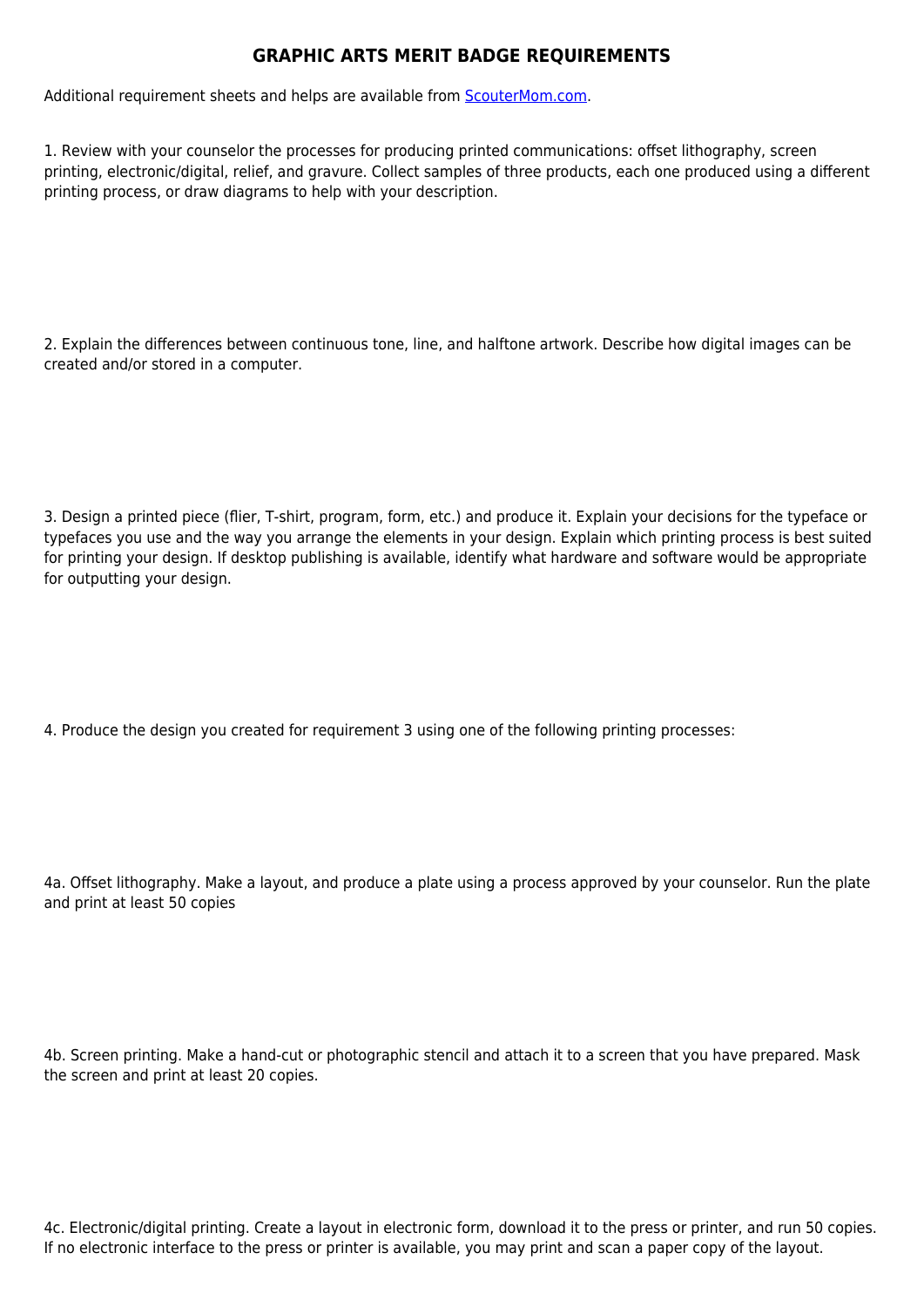## **GRAPHIC ARTS MERIT BADGE REQUIREMENTS**

Additional requirement sheets and helps are available from [ScouterMom.com](http://scoutermom.com).

1. Review with your counselor the processes for producing printed communications: offset lithography, screen printing, electronic/digital, relief, and gravure. Collect samples of three products, each one produced using a different printing process, or draw diagrams to help with your description.

2. Explain the differences between continuous tone, line, and halftone artwork. Describe how digital images can be created and/or stored in a computer.

3. Design a printed piece (flier, T-shirt, program, form, etc.) and produce it. Explain your decisions for the typeface or typefaces you use and the way you arrange the elements in your design. Explain which printing process is best suited for printing your design. If desktop publishing is available, identify what hardware and software would be appropriate for outputting your design.

4. Produce the design you created for requirement 3 using one of the following printing processes:

4a. Offset lithography. Make a layout, and produce a plate using a process approved by your counselor. Run the plate and print at least 50 copies

4b. Screen printing. Make a hand-cut or photographic stencil and attach it to a screen that you have prepared. Mask the screen and print at least 20 copies.

4c. Electronic/digital printing. Create a layout in electronic form, download it to the press or printer, and run 50 copies. If no electronic interface to the press or printer is available, you may print and scan a paper copy of the layout.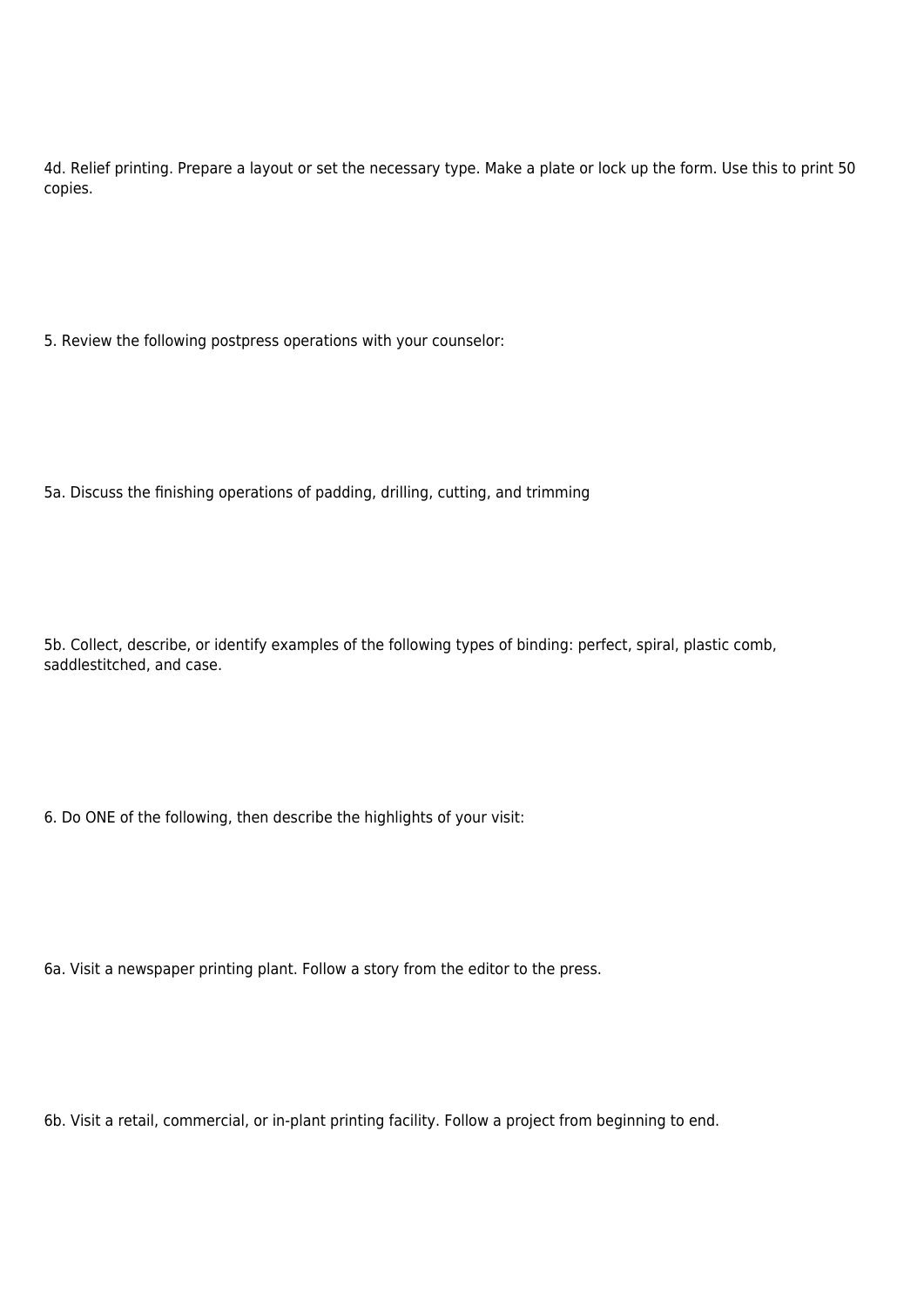4d. Relief printing. Prepare a layout or set the necessary type. Make a plate or lock up the form. Use this to print 50 copies.

5. Review the following postpress operations with your counselor:

5a. Discuss the finishing operations of padding, drilling, cutting, and trimming

5b. Collect, describe, or identify examples of the following types of binding: perfect, spiral, plastic comb, saddlestitched, and case.

6. Do ONE of the following, then describe the highlights of your visit:

6a. Visit a newspaper printing plant. Follow a story from the editor to the press.

6b. Visit a retail, commercial, or in-plant printing facility. Follow a project from beginning to end.